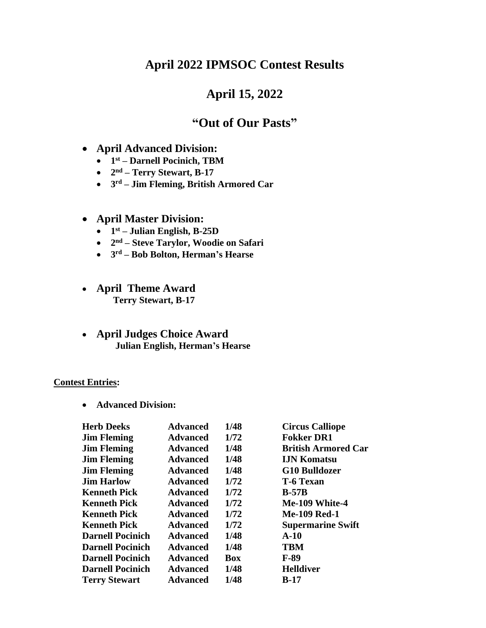### **April 2022 IPMSOC Contest Results**

## **April 15, 2022**

# **"Out of Our Pasts"**

- **April Advanced Division:**
	- **1 st – Darnell Pocinich, TBM**
	- **2 nd – Terry Stewart, B-17**
	- **3 rd – Jim Fleming, British Armored Car**

#### • **April Master Division:**

- **1 st – Julian English, B-25D**
- **2 nd – Steve Tarylor, Woodie on Safari**
- **3 rd – Bob Bolton, Herman's Hearse**
- **April Theme Award Terry Stewart, B-17**
- **April Judges Choice Award Julian English, Herman's Hearse**

#### **Contest Entries:**

• **Advanced Division:**

| <b>Herb Deeks</b>       | <b>Advanced</b> | 1/48 | <b>Circus Calliope</b>     |
|-------------------------|-----------------|------|----------------------------|
| <b>Jim Fleming</b>      | <b>Advanced</b> | 1/72 | <b>Fokker DR1</b>          |
| <b>Jim Fleming</b>      | <b>Advanced</b> | 1/48 | <b>British Armored Car</b> |
| <b>Jim Fleming</b>      | <b>Advanced</b> | 1/48 | <b>IJN Komatsu</b>         |
| <b>Jim Fleming</b>      | <b>Advanced</b> | 1/48 | <b>G10 Bulldozer</b>       |
| <b>Jim Harlow</b>       | <b>Advanced</b> | 1/72 | <b>T-6 Texan</b>           |
| <b>Kenneth Pick</b>     | <b>Advanced</b> | 1/72 | $B-57B$                    |
| <b>Kenneth Pick</b>     | <b>Advanced</b> | 1/72 | Me-109 White-4             |
| <b>Kenneth Pick</b>     | <b>Advanced</b> | 1/72 | <b>Me-109 Red-1</b>        |
| <b>Kenneth Pick</b>     | <b>Advanced</b> | 1/72 | <b>Supermarine Swift</b>   |
| <b>Darnell Pocinich</b> | <b>Advanced</b> | 1/48 | $A-10$                     |
| <b>Darnell Pocinich</b> | <b>Advanced</b> | 1/48 | <b>TBM</b>                 |
| <b>Darnell Pocinich</b> | <b>Advanced</b> | Box  | $F-89$                     |
| <b>Darnell Pocinich</b> | <b>Advanced</b> | 1/48 | <b>Helldiver</b>           |
| <b>Terry Stewart</b>    | <b>Advanced</b> | 1/48 | <b>B-17</b>                |